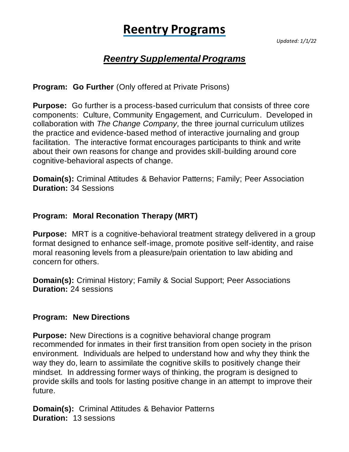# **Reentry Programs**

*Updated: 1/1/22*

# *Reentry Supplemental Programs*

**Program: Go Further** (Only offered at Private Prisons)

**Purpose:** Go further is a process-based curriculum that consists of three core components: Culture, Community Engagement, and Curriculum. Developed in collaboration with *The Change Company,* the three journal curriculum utilizes the practice and evidence-based method of interactive journaling and group facilitation. The interactive format encourages participants to think and write about their own reasons for change and provides skill-building around core cognitive-behavioral aspects of change.

**Domain(s):** Criminal Attitudes & Behavior Patterns; Family; Peer Association **Duration:** 34 Sessions

## **Program: Moral Reconation Therapy (MRT)**

**Purpose:** MRT is a cognitive-behavioral treatment strategy delivered in a group format designed to enhance self-image, promote positive self-identity, and raise moral reasoning levels from a pleasure/pain orientation to law abiding and concern for others.

**Domain(s):** Criminal History; Family & Social Support; Peer Associations **Duration:** 24 sessions

#### **Program: New Directions**

**Purpose:** New Directions is a cognitive behavioral change program recommended for inmates in their first transition from open society in the prison environment. Individuals are helped to understand how and why they think the way they do, learn to assimilate the cognitive skills to positively change their mindset. In addressing former ways of thinking, the program is designed to provide skills and tools for lasting positive change in an attempt to improve their future.

**Domain(s):** Criminal Attitudes & Behavior Patterns **Duration:** 13 sessions